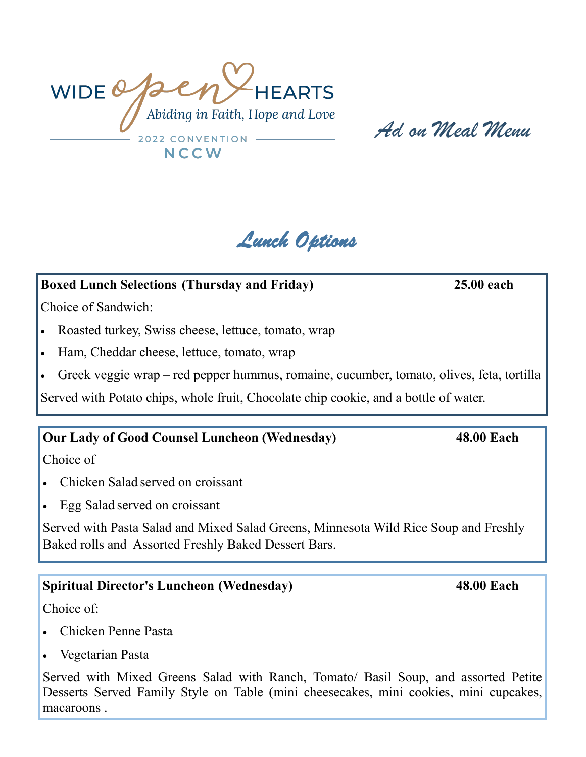WIDEQpe **HEARTS** Abiding in Faith, Hope and Love 2022 CONVENTION NCCW

*Ad on Meal Menu*



### **Boxed Lunch Selections (Thursday and Friday) 25.00 each**

Choice of Sandwich:

- Roasted turkey, Swiss cheese, lettuce, tomato, wrap
- Ham, Cheddar cheese, lettuce, tomato, wrap
- Greek veggie wrap red pepper hummus, romaine, cucumber, tomato, olives, feta, tortilla

Served with Potato chips, whole fruit, Chocolate chip cookie, and a bottle of water.

### **Our Lady of Good Counsel Luncheon (Wednesday) 48.00 Each**

Choice of

- Chicken Salad served on croissant
- Egg Salad served on croissant

Served with Pasta Salad and Mixed Salad Greens, Minnesota Wild Rice Soup and Freshly Baked rolls and Assorted Freshly Baked Dessert Bars.

### **Spiritual Director's Luncheon (Wednesday) 48.00 Each**

Choice of:

- Chicken Penne Pasta
- Vegetarian Pasta

Served with Mixed Greens Salad with Ranch, Tomato/ Basil Soup, and assorted Petite Desserts Served Family Style on Table (mini cheesecakes, mini cookies, mini cupcakes, macaroons .